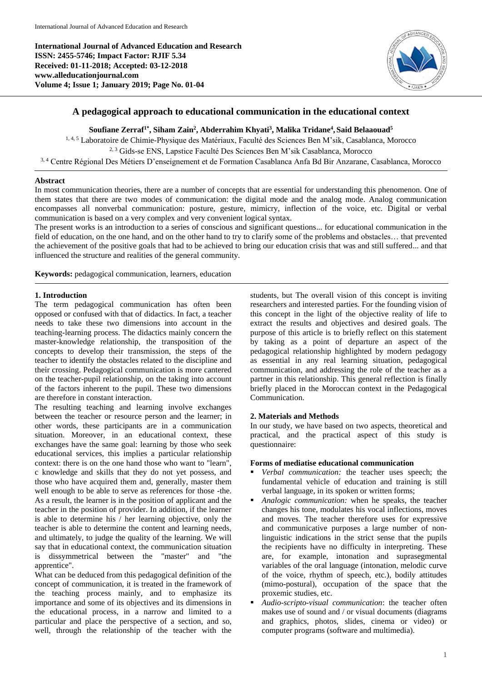**International Journal of Advanced Education and Research ISSN: 2455-5746; Impact Factor: RJIF 5.34 Received: 01-11-2018; Accepted: 03-12-2018 www.alleducationjournal.com Volume 4; Issue 1; January 2019; Page No. 01-04**



# **A pedagogical approach to educational communication in the educational context**

# **Soufiane Zerraf1\*, Siham Zain<sup>2</sup> , Abderrahim Khyati<sup>3</sup> , Malika Tridane<sup>4</sup> , Said Belaaouad<sup>5</sup>**

<sup>1, 4, 5</sup> Laboratoire de Chimie-Physique des Matériaux, Faculté des Sciences Ben M'sik, Casablanca, Morocco <sup>2, 3</sup> Gids-se ENS, Lapstice Faculté Des Sciences Ben M'sik Casablanca, Morocco

3, 4 Centre Régional Des Métiers D'enseignement et de Formation Casablanca Anfa Bd Bir Anzarane, Casablanca, Morocco

# **Abstract**

In most communication theories, there are a number of concepts that are essential for understanding this phenomenon. One of them states that there are two modes of communication: the digital mode and the analog mode. Analog communication encompasses all nonverbal communication: posture, gesture, mimicry, inflection of the voice, etc. Digital or verbal communication is based on a very complex and very convenient logical syntax.

The present works is an introduction to a series of conscious and significant questions... for educational communication in the field of education, on the one hand, and on the other hand to try to clarify some of the problems and obstacles… that prevented the achievement of the positive goals that had to be achieved to bring our education crisis that was and still suffered... and that influenced the structure and realities of the general community.

**Keywords:** pedagogical communication, learners, education

# **1. Introduction**

The term pedagogical communication has often been opposed or confused with that of didactics. In fact, a teacher needs to take these two dimensions into account in the teaching-learning process. The didactics mainly concern the master-knowledge relationship, the transposition of the concepts to develop their transmission, the steps of the teacher to identify the obstacles related to the discipline and their crossing. Pedagogical communication is more cantered on the teacher-pupil relationship, on the taking into account of the factors inherent to the pupil. These two dimensions are therefore in constant interaction.

The resulting teaching and learning involve exchanges between the teacher or resource person and the learner; in other words, these participants are in a communication situation. Moreover, in an educational context, these exchanges have the same goal: learning by those who seek educational services, this implies a particular relationship context: there is on the one hand those who want to "learn", c knowledge and skills that they do not yet possess, and those who have acquired them and, generally, master them well enough to be able to serve as references for those -the. As a result, the learner is in the position of applicant and the teacher in the position of provider. In addition, if the learner is able to determine his / her learning objective, only the teacher is able to determine the content and learning needs, and ultimately, to judge the quality of the learning. We will say that in educational context, the communication situation is dissymmetrical between the "master" and "the apprentice".

What can be deduced from this pedagogical definition of the concept of communication, it is treated in the framework of the teaching process mainly, and to emphasize its importance and some of its objectives and its dimensions in the educational process, in a narrow and limited to a particular and place the perspective of a section, and so, well, through the relationship of the teacher with the

students, but The overall vision of this concept is inviting researchers and interested parties. For the founding vision of this concept in the light of the objective reality of life to extract the results and objectives and desired goals. The purpose of this article is to briefly reflect on this statement by taking as a point of departure an aspect of the pedagogical relationship highlighted by modern pedagogy as essential in any real learning situation, pedagogical communication, and addressing the role of the teacher as a partner in this relationship. This general reflection is finally briefly placed in the Moroccan context in the Pedagogical Communication.

# **2. Materials and Methods**

In our study, we have based on two aspects, theoretical and practical, and the practical aspect of this study is questionnaire:

# **Forms of mediatise educational communication**

- *Verbal communication:* the teacher uses speech; the fundamental vehicle of education and training is still verbal language, in its spoken or written forms;
- *Analogic communication:* when he speaks, the teacher changes his tone, modulates his vocal inflections, moves and moves. The teacher therefore uses for expressive and communicative purposes a large number of nonlinguistic indications in the strict sense that the pupils the recipients have no difficulty in interpreting. These are, for example, intonation and suprasegmental variables of the oral language (intonation, melodic curve of the voice, rhythm of speech, etc.), bodily attitudes (mimo-postural), occupation of the space that the proxemic studies, etc.
- *Audio-scripto-visual communication*: the teacher often makes use of sound and / or visual documents (diagrams and graphics, photos, slides, cinema or video) or computer programs (software and multimedia).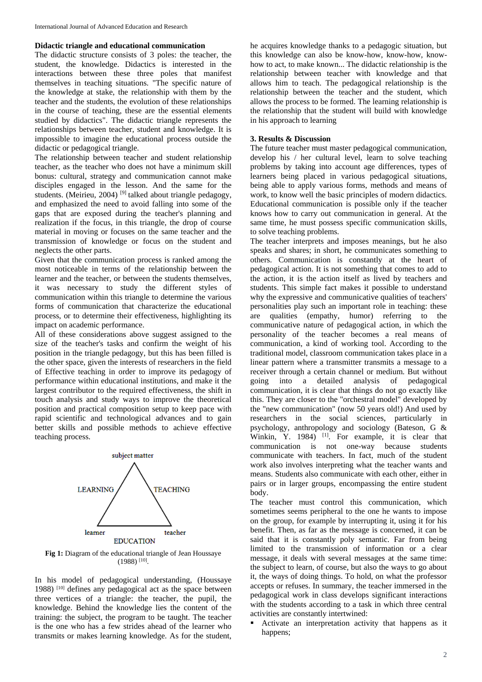#### **Didactic triangle and educational communication**

The didactic structure consists of 3 poles: the teacher, the student, the knowledge. Didactics is interested in the interactions between these three poles that manifest themselves in teaching situations. "The specific nature of the knowledge at stake, the relationship with them by the teacher and the students, the evolution of these relationships in the course of teaching, these are the essential elements studied by didactics". The didactic triangle represents the relationships between teacher, student and knowledge. It is impossible to imagine the educational process outside the didactic or pedagogical triangle.

The relationship between teacher and student relationship teacher, as the teacher who does not have a minimum skill bonus: cultural, strategy and communication cannot make disciples engaged in the lesson. And the same for the students. (Meirieu, 2004)<sup>[9]</sup> talked about triangle pedagogy, and emphasized the need to avoid falling into some of the gaps that are exposed during the teacher's planning and realization if the focus, in this triangle, the drop of course material in moving or focuses on the same teacher and the transmission of knowledge or focus on the student and neglects the other parts.

Given that the communication process is ranked among the most noticeable in terms of the relationship between the learner and the teacher, or between the students themselves, it was necessary to study the different styles of communication within this triangle to determine the various forms of communication that characterize the educational process, or to determine their effectiveness, highlighting its impact on academic performance.

All of these considerations above suggest assigned to the size of the teacher's tasks and confirm the weight of his position in the triangle pedagogy, but this has been filled is the other space, given the interests of researchers in the field of Effective teaching in order to improve its pedagogy of performance within educational institutions, and make it the largest contributor to the required effectiveness, the shift in touch analysis and study ways to improve the theoretical position and practical composition setup to keep pace with rapid scientific and technological advances and to gain better skills and possible methods to achieve effective teaching process.



**Fig 1:** Diagram of the educational triangle of Jean Houssaye  $(1988)$ <sup>[10]</sup>.

In his model of pedagogical understanding, (Houssaye 1988) [10] defines any pedagogical act as the space between three vertices of a triangle: the teacher, the pupil, the knowledge. Behind the knowledge lies the content of the training: the subject, the program to be taught. The teacher is the one who has a few strides ahead of the learner who transmits or makes learning knowledge. As for the student,

he acquires knowledge thanks to a pedagogic situation, but this knowledge can also be know-how, know-how, knowhow to act, to make known... The didactic relationship is the relationship between teacher with knowledge and that allows him to teach. The pedagogical relationship is the relationship between the teacher and the student, which allows the process to be formed. The learning relationship is the relationship that the student will build with knowledge in his approach to learning

## **3. Results & Discussion**

The future teacher must master pedagogical communication, develop his / her cultural level, learn to solve teaching problems by taking into account age differences, types of learners being placed in various pedagogical situations, being able to apply various forms, methods and means of work, to know well the basic principles of modern didactics. Educational communication is possible only if the teacher knows how to carry out communication in general. At the same time, he must possess specific communication skills, to solve teaching problems.

The teacher interprets and imposes meanings, but he also speaks and shares; in short, he communicates something to others. Communication is constantly at the heart of pedagogical action. It is not something that comes to add to the action, it is the action itself as lived by teachers and students. This simple fact makes it possible to understand why the expressive and communicative qualities of teachers' personalities play such an important role in teaching: these are qualities (empathy, humor) referring to the communicative nature of pedagogical action, in which the personality of the teacher becomes a real means of communication, a kind of working tool. According to the traditional model, classroom communication takes place in a linear pattern where a transmitter transmits a message to a receiver through a certain channel or medium. But without going into a detailed analysis of pedagogical communication, it is clear that things do not go exactly like this. They are closer to the "orchestral model" developed by the "new communication" (now 50 years old!) And used by researchers in the social sciences, particularly in psychology, anthropology and sociology (Bateson, G & Winkin, Y. 1984) <sup>[1]</sup>. For example, it is clear that communication is not one-way because students communicate with teachers. In fact, much of the student work also involves interpreting what the teacher wants and means. Students also communicate with each other, either in pairs or in larger groups, encompassing the entire student body.

The teacher must control this communication, which sometimes seems peripheral to the one he wants to impose on the group, for example by interrupting it, using it for his benefit. Then, as far as the message is concerned, it can be said that it is constantly poly semantic. Far from being limited to the transmission of information or a clear message, it deals with several messages at the same time: the subject to learn, of course, but also the ways to go about it, the ways of doing things. To hold, on what the professor accepts or refuses. In summary, the teacher immersed in the pedagogical work in class develops significant interactions with the students according to a task in which three central activities are constantly intertwined:

 Activate an interpretation activity that happens as it happens;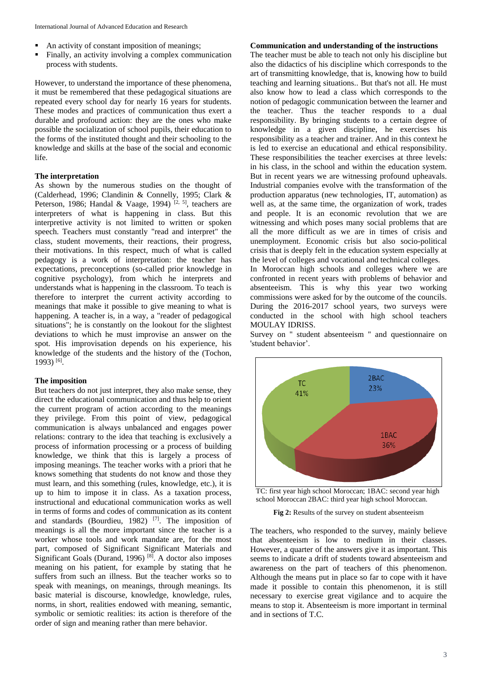- An activity of constant imposition of meanings;
- Finally, an activity involving a complex communication process with students.

However, to understand the importance of these phenomena, it must be remembered that these pedagogical situations are repeated every school day for nearly 16 years for students. These modes and practices of communication thus exert a durable and profound action: they are the ones who make possible the socialization of school pupils, their education to the forms of the instituted thought and their schooling to the knowledge and skills at the base of the social and economic life.

# **The interpretation**

As shown by the numerous studies on the thought of (Calderhead, 1996; Clandinin & Connelly, 1995; Clark & Peterson, 1986; Handal & Vaage, 1994)  $^{[2, 5]}$ , teachers are interpreters of what is happening in class. But this interpretive activity is not limited to written or spoken speech. Teachers must constantly "read and interpret" the class, student movements, their reactions, their progress, their motivations. In this respect, much of what is called pedagogy is a work of interpretation: the teacher has expectations, preconceptions (so-called prior knowledge in cognitive psychology), from which he interprets and understands what is happening in the classroom. To teach is therefore to interpret the current activity according to meanings that make it possible to give meaning to what is happening. A teacher is, in a way, a "reader of pedagogical situations"; he is constantly on the lookout for the slightest deviations to which he must improvise an answer on the spot. His improvisation depends on his experience, his knowledge of the students and the history of the (Tochon, 1993) [6] .

#### **The imposition**

But teachers do not just interpret, they also make sense, they direct the educational communication and thus help to orient the current program of action according to the meanings they privilege. From this point of view, pedagogical communication is always unbalanced and engages power relations: contrary to the idea that teaching is exclusively a process of information processing or a process of building knowledge, we think that this is largely a process of imposing meanings. The teacher works with a priori that he knows something that students do not know and those they must learn, and this something (rules, knowledge, etc.), it is up to him to impose it in class. As a taxation process, instructional and educational communication works as well in terms of forms and codes of communication as its content and standards (Bourdieu, 1982)  $[7]$ . The imposition of meanings is all the more important since the teacher is a worker whose tools and work mandate are, for the most part, composed of Significant Significant Materials and Significant Goals (Durand, 1996)<sup>[8]</sup>. A doctor also imposes meaning on his patient, for example by stating that he suffers from such an illness. But the teacher works so to speak with meanings, on meanings, through meanings. Its basic material is discourse, knowledge, knowledge, rules, norms, in short, realities endowed with meaning, semantic, symbolic or semiotic realities: its action is therefore of the order of sign and meaning rather than mere behavior.

## **Communication and understanding of the instructions**

The teacher must be able to teach not only his discipline but also the didactics of his discipline which corresponds to the art of transmitting knowledge, that is, knowing how to build teaching and learning situations.. But that's not all. He must also know how to lead a class which corresponds to the notion of pedagogic communication between the learner and the teacher. Thus the teacher responds to a dual responsibility. By bringing students to a certain degree of knowledge in a given discipline, he exercises his responsibility as a teacher and trainer. And in this context he is led to exercise an educational and ethical responsibility. These responsibilities the teacher exercises at three levels: in his class, in the school and within the education system. But in recent years we are witnessing profound upheavals. Industrial companies evolve with the transformation of the production apparatus (new technologies, IT, automation) as well as, at the same time, the organization of work, trades and people. It is an economic revolution that we are witnessing and which poses many social problems that are all the more difficult as we are in times of crisis and unemployment. Economic crisis but also socio-political crisis that is deeply felt in the education system especially at the level of colleges and vocational and technical colleges.

In Moroccan high schools and colleges where we are confronted in recent years with problems of behavior and absenteeism. This is why this year two working commissions were asked for by the outcome of the councils. During the 2016-2017 school years, two surveys were conducted in the school with high school teachers MOULAY IDRISS.

Survey on '' student absenteeism '' and questionnaire on 'student behavior'.



TC: first year high school Moroccan; 1BAC: second year high school Moroccan 2BAC: third year high school Moroccan.

Fig 2: Results of the survey on student absenteeism

The teachers, who responded to the survey, mainly believe that absenteeism is low to medium in their classes. However, a quarter of the answers give it as important. This seems to indicate a drift of students toward absenteeism and awareness on the part of teachers of this phenomenon. Although the means put in place so far to cope with it have made it possible to contain this phenomenon, it is still necessary to exercise great vigilance and to acquire the means to stop it. Absenteeism is more important in terminal and in sections of T.C.